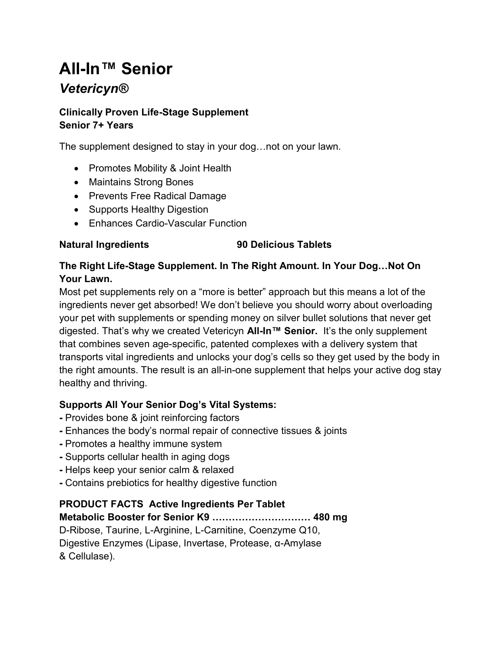# All-In™ Senior

## **Vetericyn®**

#### Clinically Proven Life-Stage Supplement Senior 7+ Years

The supplement designed to stay in your dog…not on your lawn.

- Promotes Mobility & Joint Health
- Maintains Strong Bones
- Prevents Free Radical Damage
- Supports Healthy Digestion
- Enhances Cardio-Vascular Function

#### Natural Ingredients 90 Delicious Tablets

#### The Right Life-Stage Supplement. In The Right Amount. In Your Dog…Not On Your Lawn.

Most pet supplements rely on a "more is better" approach but this means a lot of the ingredients never get absorbed! We don't believe you should worry about overloading your pet with supplements or spending money on silver bullet solutions that never get digested. That's why we created Vetericyn All-In™ Senior. It's the only supplement that combines seven age-specific, patented complexes with a delivery system that transports vital ingredients and unlocks your dog's cells so they get used by the body in the right amounts. The result is an all-in-one supplement that helps your active dog stay healthy and thriving.

### Supports All Your Senior Dog's Vital Systems:

- Provides bone & joint reinforcing factors
- Enhances the body's normal repair of connective tissues & joints
- Promotes a healthy immune system
- Supports cellular health in aging dogs
- Helps keep your senior calm & relaxed
- Contains prebiotics for healthy digestive function

### PRODUCT FACTS Active Ingredients Per Tablet

Metabolic Booster for Senior K9 ………………………… 480 mg

D-Ribose, Taurine, L-Arginine, L-Carnitine, Coenzyme Q10, Digestive Enzymes (Lipase, Invertase, Protease, α-Amylase & Cellulase).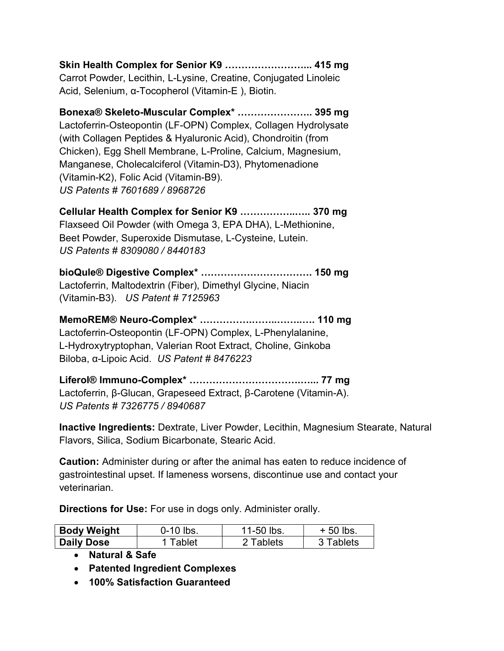Skin Health Complex for Senior K9 ……………………... 415 mg Carrot Powder, Lecithin, L-Lysine, Creatine, Conjugated Linoleic Acid, Selenium, α-Tocopherol (Vitamin-E ), Biotin.

Bonexa® Skeleto-Muscular Complex\* ………………….. 395 mg Lactoferrin-Osteopontin (LF-OPN) Complex, Collagen Hydrolysate (with Collagen Peptides & Hyaluronic Acid), Chondroitin (from Chicken), Egg Shell Membrane, L-Proline, Calcium, Magnesium, Manganese, Cholecalciferol (Vitamin-D3), Phytomenadione (Vitamin-K2), Folic Acid (Vitamin-B9). US Patents # 7601689 / 8968726

Cellular Health Complex for Senior K9 ……………..….. 370 mg Flaxseed Oil Powder (with Omega 3, EPA DHA), L-Methionine, Beet Powder, Superoxide Dismutase, L-Cysteine, Lutein. US Patents # 8309080 / 8440183

bioQule® Digestive Complex\* ……………………………. 150 mg Lactoferrin, Maltodextrin (Fiber), Dimethyl Glycine, Niacin (Vitamin-B3). US Patent # 7125963

MemoREM® Neuro-Complex\* …………….……..……..…. 110 mg Lactoferrin-Osteopontin (LF-OPN) Complex, L-Phenylalanine, L-Hydroxytryptophan, Valerian Root Extract, Choline, Ginkoba Biloba, α-Lipoic Acid. US Patent # 8476223

Liferol® Immuno-Complex\* …………………………….…... 77 mg Lactoferrin, β-Glucan, Grapeseed Extract, β-Carotene (Vitamin-A). US Patents # 7326775 / 8940687

Inactive Ingredients: Dextrate, Liver Powder, Lecithin, Magnesium Stearate, Natural Flavors, Silica, Sodium Bicarbonate, Stearic Acid.

Caution: Administer during or after the animal has eaten to reduce incidence of gastrointestinal upset. If lameness worsens, discontinue use and contact your veterinarian.

Directions for Use: For use in dogs only. Administer orally.

| <b>Body Weight</b> | 0-10 lbs. | 11-50 lbs. | $+50$ lbs. |
|--------------------|-----------|------------|------------|
| <b>Daily Dose</b>  | Tablet    | ?Tablets   | 3 Tablets  |

Natural & Safe

- Patented Ingredient Complexes
- 100% Satisfaction Guaranteed